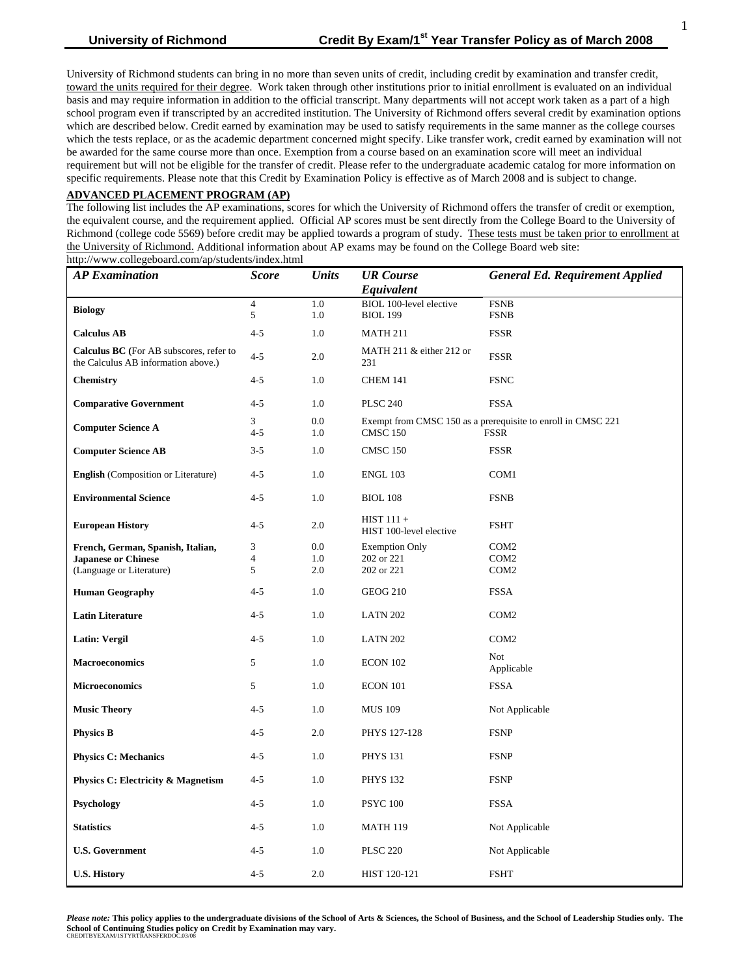#### **ADVANCED PLACEMENT PROGRAM (AP)**

The following list includes the AP examinations, scores for which the University of Richmond offers the transfer of credit or exemption, the equivalent course, and the requirement applied. Official AP scores must be sent directly from the College Board to the University of Richmond (college code 5569) before credit may be applied towards a program of study. These tests must be taken prior to enrollment at the University of Richmond. Additional information about AP exams may be found on the College Board web site: http://www.collegeboard.com/ap/students/index.html

| <b>AP</b> Examination                                                                 | <b>Score</b>   | <b>Units</b> | <b>UR</b> Course                        | <b>General Ed. Requirement Applied</b>                       |
|---------------------------------------------------------------------------------------|----------------|--------------|-----------------------------------------|--------------------------------------------------------------|
|                                                                                       |                |              | Equivalent                              |                                                              |
| <b>Biology</b>                                                                        | $\overline{4}$ | 1.0          | BIOL 100-level elective                 | <b>FSNB</b>                                                  |
|                                                                                       | 5              | 1.0          | <b>BIOL 199</b>                         | <b>FSNB</b>                                                  |
| <b>Calculus AB</b>                                                                    | $4 - 5$        | 1.0          | <b>MATH 211</b>                         | <b>FSSR</b>                                                  |
| <b>Calculus BC</b> (For AB subscores, refer to<br>the Calculus AB information above.) | $4 - 5$        | 2.0          | MATH 211 $&$ either 212 or<br>231       | <b>FSSR</b>                                                  |
| <b>Chemistry</b>                                                                      | $4 - 5$        | 1.0          | CHEM 141                                | <b>FSNC</b>                                                  |
| <b>Comparative Government</b>                                                         | $4 - 5$        | 1.0          | <b>PLSC 240</b>                         | <b>FSSA</b>                                                  |
| <b>Computer Science A</b>                                                             | 3              | 0.0          |                                         | Exempt from CMSC 150 as a prerequisite to enroll in CMSC 221 |
|                                                                                       | $4 - 5$        | 1.0          | <b>CMSC 150</b><br><b>FSSR</b>          |                                                              |
| <b>Computer Science AB</b>                                                            | $3 - 5$        | 1.0          | <b>CMSC 150</b>                         | <b>FSSR</b>                                                  |
| <b>English</b> (Composition or Literature)                                            | $4 - 5$        | 1.0          | <b>ENGL 103</b>                         | COM <sub>1</sub>                                             |
| <b>Environmental Science</b>                                                          | $4 - 5$        | 1.0          | <b>BIOL 108</b>                         | <b>FSNB</b>                                                  |
| <b>European History</b>                                                               | $4 - 5$        | 2.0          | $HIST 111 +$<br>HIST 100-level elective | <b>FSHT</b>                                                  |
| French, German, Spanish, Italian,                                                     | 3              | 0.0          | <b>Exemption Only</b>                   | COM <sub>2</sub>                                             |
| <b>Japanese or Chinese</b>                                                            | 4              | 1.0          | 202 or 221                              | COM <sub>2</sub>                                             |
| (Language or Literature)                                                              | 5              | 2.0          | 202 or 221                              | COM <sub>2</sub>                                             |
| <b>Human Geography</b>                                                                | $4 - 5$        | 1.0          | <b>GEOG 210</b>                         | <b>FSSA</b>                                                  |
| <b>Latin Literature</b>                                                               | $4 - 5$        | 1.0          | <b>LATN 202</b>                         | COM <sub>2</sub>                                             |
| Latin: Vergil                                                                         | $4 - 5$        | 1.0          | <b>LATN 202</b>                         | COM <sub>2</sub>                                             |
| <b>Macroeconomics</b>                                                                 | 5              | 1.0          | ECON 102                                | <b>Not</b><br>Applicable                                     |
| <b>Microeconomics</b>                                                                 | 5              | 1.0          | ECON 101                                | <b>FSSA</b>                                                  |
| <b>Music Theory</b>                                                                   | $4 - 5$        | 1.0          | <b>MUS 109</b>                          | Not Applicable                                               |
| <b>Physics B</b>                                                                      | $4 - 5$        | 2.0          | PHYS 127-128                            | <b>FSNP</b>                                                  |
| <b>Physics C: Mechanics</b>                                                           | $4 - 5$        | 1.0          | <b>PHYS 131</b>                         | <b>FSNP</b>                                                  |
| Physics C: Electricity & Magnetism                                                    | $4 - 5$        | 1.0          | <b>PHYS 132</b>                         | <b>FSNP</b>                                                  |
| Psychology                                                                            | $4 - 5$        | 1.0          | <b>PSYC 100</b>                         | <b>FSSA</b>                                                  |
| <b>Statistics</b>                                                                     | $4 - 5$        | 1.0          | <b>MATH 119</b>                         | Not Applicable                                               |
| <b>U.S. Government</b>                                                                | $4 - 5$        | 1.0          | <b>PLSC 220</b>                         | Not Applicable                                               |
| <b>U.S. History</b>                                                                   | $4 - 5$        | 2.0          | HIST 120-121                            | <b>FSHT</b>                                                  |

*Please note:* **This policy applies to the undergraduate divisions of the School of Arts & Sciences, the School of Business, and the School of Leadership Studies only. The School of Continuing Studies policy on Credit by Examination may vary.** CREDITBYEXAM/1STYRTRANSFERDOC.03/0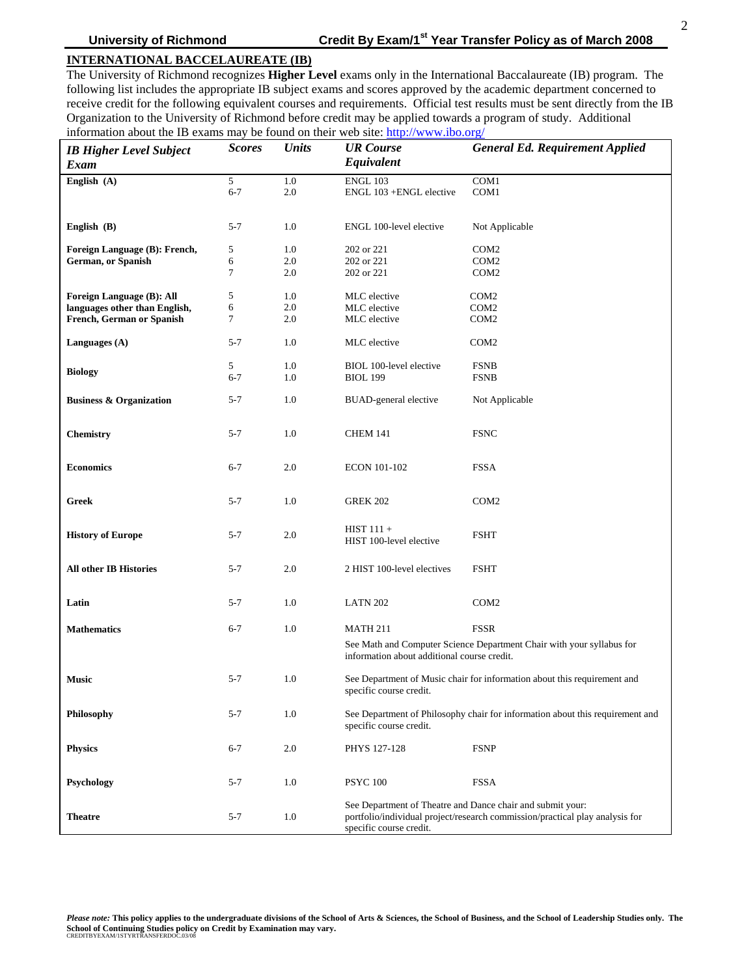# **INTERNATIONAL BACCELAUREATE (IB)**

The University of Richmond recognizes **Higher Level** exams only in the International Baccalaureate (IB) program. The following list includes the appropriate IB subject exams and scores approved by the academic department concerned to receive credit for the following equivalent courses and requirements. Official test results must be sent directly from the IB Organization to the University of Richmond before credit may be applied towards a program of study. Additional information about the IB exams may be found on their web site: <http://www.ibo.org/>

| <b>IB Higher Level Subject</b><br>Exam | <b>Scores</b> | <b>Units</b> | <b>UR</b> Course<br>Equivalent              | <b>General Ed. Requirement Applied</b>                                        |
|----------------------------------------|---------------|--------------|---------------------------------------------|-------------------------------------------------------------------------------|
| English (A)                            | 5             | 1.0          | <b>ENGL 103</b>                             | COM1                                                                          |
|                                        | $6 - 7$       | 2.0          | ENGL 103 +ENGL elective                     | COM1                                                                          |
|                                        |               |              |                                             |                                                                               |
| English $(B)$                          | 5-7           | 1.0          | ENGL 100-level elective                     | Not Applicable                                                                |
| Foreign Language (B): French,          | 5             | 1.0          | 202 or 221                                  | COM <sub>2</sub>                                                              |
| <b>German, or Spanish</b>              | 6             | 2.0          | 202 or 221                                  | COM <sub>2</sub>                                                              |
|                                        | 7             | 2.0          | 202 or 221                                  | COM <sub>2</sub>                                                              |
| Foreign Language (B): All              | 5             | 1.0          | MLC elective                                | COM <sub>2</sub>                                                              |
| languages other than English,          | 6             | 2.0          | MLC elective                                | COM <sub>2</sub>                                                              |
| French, German or Spanish              | 7             | 2.0          | MLC elective                                | COM <sub>2</sub>                                                              |
|                                        |               |              |                                             |                                                                               |
| Languages $(A)$                        | $5 - 7$       | 1.0          | MLC elective                                | COM <sub>2</sub>                                                              |
|                                        | 5             | 1.0          | BIOL 100-level elective                     | <b>FSNB</b>                                                                   |
| <b>Biology</b>                         | $6 - 7$       | 1.0          | <b>BIOL 199</b>                             | <b>FSNB</b>                                                                   |
| <b>Business &amp; Organization</b>     | 5-7           | 1.0          | <b>BUAD-general elective</b>                | Not Applicable                                                                |
|                                        |               |              |                                             |                                                                               |
| <b>Chemistry</b>                       | 5-7           | 1.0          | <b>CHEM 141</b>                             | <b>FSNC</b>                                                                   |
|                                        |               |              |                                             |                                                                               |
| <b>Economics</b>                       | $6 - 7$       | 2.0          | ECON 101-102                                | <b>FSSA</b>                                                                   |
|                                        |               |              |                                             |                                                                               |
| Greek                                  | $5 - 7$       | 1.0          | <b>GREK 202</b>                             | COM <sub>2</sub>                                                              |
| <b>History of Europe</b>               | 5-7           | 2.0          | $HIST 111 +$                                | <b>FSHT</b>                                                                   |
|                                        |               |              | HIST 100-level elective                     |                                                                               |
| <b>All other IB Histories</b>          | $5 - 7$       | 2.0          | 2 HIST 100-level electives                  | <b>FSHT</b>                                                                   |
|                                        |               |              |                                             |                                                                               |
| Latin                                  | 5-7           | 1.0          | <b>LATN 202</b>                             | COM <sub>2</sub>                                                              |
| <b>Mathematics</b>                     | $6 - 7$       | 1.0          | <b>MATH 211</b>                             | <b>FSSR</b>                                                                   |
|                                        |               |              |                                             |                                                                               |
|                                        |               |              | information about additional course credit. | See Math and Computer Science Department Chair with your syllabus for         |
| <b>Music</b>                           | $5 - 7$       | 1.0          |                                             | See Department of Music chair for information about this requirement and      |
|                                        |               |              | specific course credit.                     |                                                                               |
| Philosophy                             | $5 - 7$       | 1.0          |                                             | See Department of Philosophy chair for information about this requirement and |
|                                        |               |              | specific course credit.                     |                                                                               |
| <b>Physics</b>                         | $6 - 7$       | 2.0          | PHYS 127-128                                | <b>FSNP</b>                                                                   |
|                                        |               |              |                                             |                                                                               |
| Psychology                             | $5 - 7$       | 1.0          | <b>PSYC 100</b>                             | <b>FSSA</b>                                                                   |
|                                        |               |              |                                             | See Department of Theatre and Dance chair and submit your:                    |
| <b>Theatre</b>                         | $5 - 7$       | 1.0          | specific course credit.                     | portfolio/individual project/research commission/practical play analysis for  |

*Please note:* **This policy applies to the undergraduate divisions of the School of Arts & Sciences, the School of Business, and the School of Leadership Studies only. The School of Continuing Studies policy on Credit by Examination may vary.** CREDITBYEXAM/1STYRTRANSFERDOC.03/08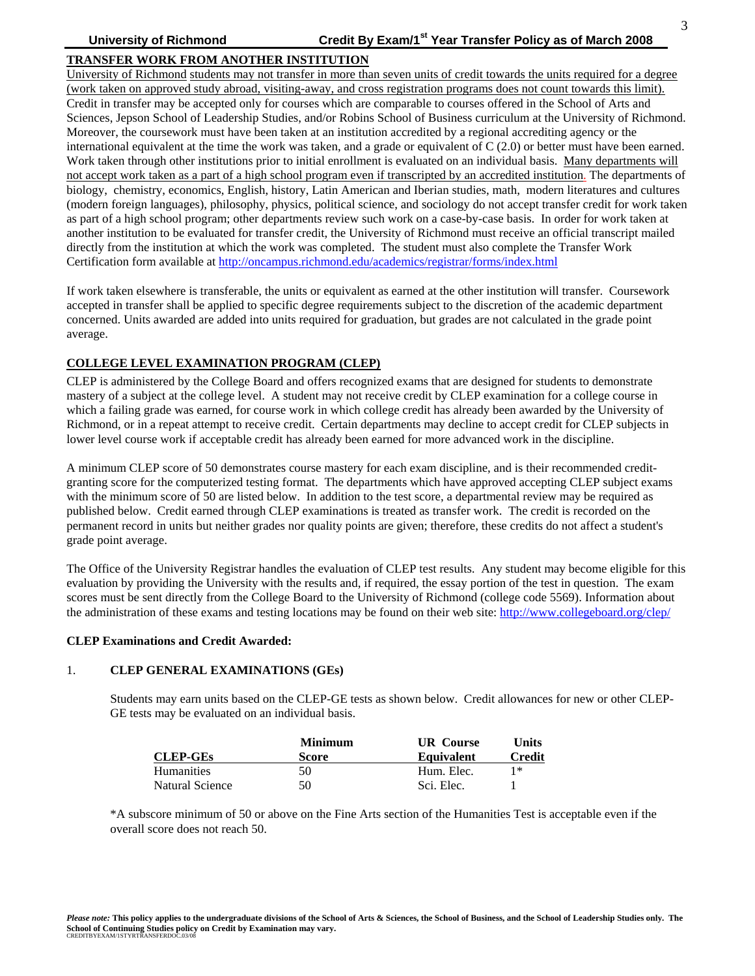# **TRANSFER WORK FROM ANOTHER INSTITUTION**

University of Richmond students may not transfer in more than seven units of credit towards the units required for a degree (work taken on approved study abroad, visiting-away, and cross registration programs does not count towards this limit). Credit in transfer may be accepted only for courses which are comparable to courses offered in the School of Arts and Sciences, Jepson School of Leadership Studies, and/or Robins School of Business curriculum at the University of Richmond. Moreover, the coursework must have been taken at an institution accredited by a regional accrediting agency or the international equivalent at the time the work was taken, and a grade or equivalent of C (2.0) or better must have been earned. Work taken through other institutions prior to initial enrollment is evaluated on an individual basis. Many departments will not accept work taken as a part of a high school program even if transcripted by an accredited institution. The departments of biology, chemistry, economics, English, history, Latin American and Iberian studies, math, modern literatures and cultures (modern foreign languages), philosophy, physics, political science, and sociology do not accept transfer credit for work taken as part of a high school program; other departments review such work on a case-by-case basis. In order for work taken at another institution to be evaluated for transfer credit, the University of Richmond must receive an official transcript mailed directly from the institution at which the work was completed. The student must also complete the Transfer Work Certification form available at<http://oncampus.richmond.edu/academics/registrar/forms/index.html>

If work taken elsewhere is transferable, the units or equivalent as earned at the other institution will transfer. Coursework accepted in transfer shall be applied to specific degree requirements subject to the discretion of the academic department concerned. Units awarded are added into units required for graduation, but grades are not calculated in the grade point average.

## **COLLEGE LEVEL EXAMINATION PROGRAM (CLEP)**

CLEP is administered by the College Board and offers recognized exams that are designed for students to demonstrate mastery of a subject at the college level. A student may not receive credit by CLEP examination for a college course in which a failing grade was earned, for course work in which college credit has already been awarded by the University of Richmond, or in a repeat attempt to receive credit. Certain departments may decline to accept credit for CLEP subjects in lower level course work if acceptable credit has already been earned for more advanced work in the discipline.

A minimum CLEP score of 50 demonstrates course mastery for each exam discipline, and is their recommended creditgranting score for the computerized testing format. The departments which have approved accepting CLEP subject exams with the minimum score of 50 are listed below. In addition to the test score, a departmental review may be required as published below. Credit earned through CLEP examinations is treated as transfer work. The credit is recorded on the permanent record in units but neither grades nor quality points are given; therefore, these credits do not affect a student's grade point average.

The Office of the University Registrar handles the evaluation of CLEP test results. Any student may become eligible for this evaluation by providing the University with the results and, if required, the essay portion of the test in question. The exam scores must be sent directly from the College Board to the University of Richmond (college code 5569). Information about the administration of these exams and testing locations may be found on their web site: <http://www.collegeboard.org/clep/>

#### **CLEP Examinations and Credit Awarded:**

### 1. **CLEP GENERAL EXAMINATIONS (GEs)**

Students may earn units based on the CLEP-GE tests as shown below. Credit allowances for new or other CLEP-GE tests may be evaluated on an individual basis.

|                   | <b>Minimum</b> | <b>UR</b> Course  | Units  |
|-------------------|----------------|-------------------|--------|
| <b>CLEP-GEs</b>   | Score          | <b>Equivalent</b> | Credit |
| <b>Humanities</b> | 50             | Hum. Elec.        | 1*     |
| Natural Science   | 50             | Sci. Elec.        |        |

\*A subscore minimum of 50 or above on the Fine Arts section of the Humanities Test is acceptable even if the overall score does not reach 50.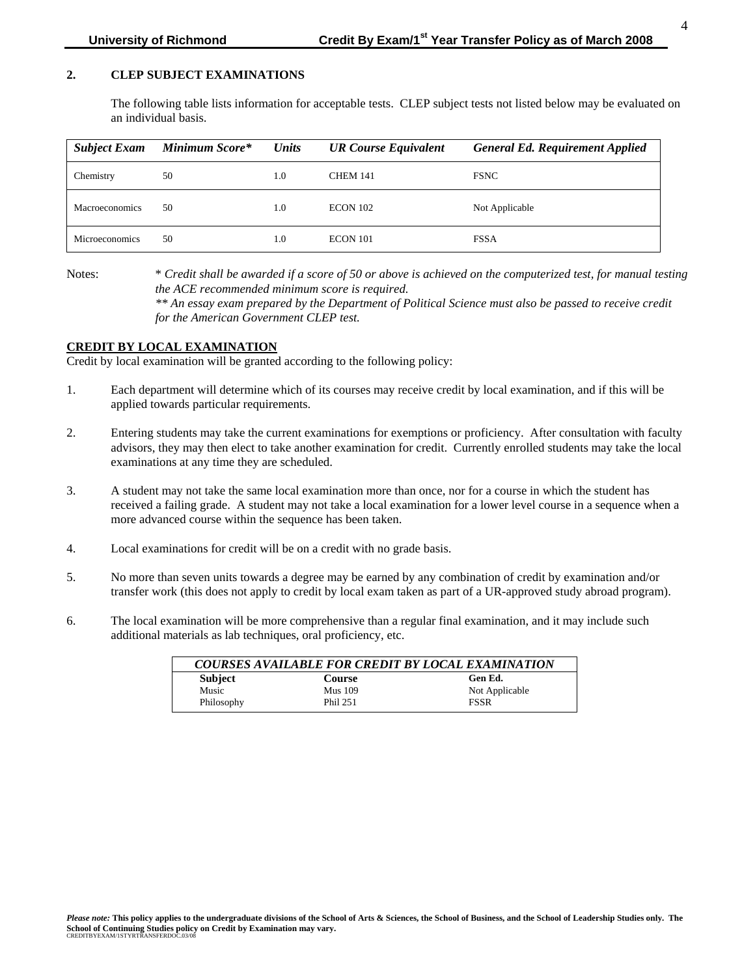### **2. CLEP SUBJECT EXAMINATIONS**

The following table lists information for acceptable tests. CLEP subject tests not listed below may be evaluated on an individual basis.

| <b>Subject Exam</b>   | Minimum Score* | <b>Units</b> | <b>UR Course Equivalent</b> | <b>General Ed. Requirement Applied</b> |
|-----------------------|----------------|--------------|-----------------------------|----------------------------------------|
| Chemistry             | 50             | 1.0          | <b>CHEM 141</b>             | <b>FSNC</b>                            |
| <b>Macroeconomics</b> | 50             | 1.0          | <b>ECON 102</b>             | Not Applicable                         |
| <b>Microeconomics</b> | 50             | 1.0          | ECON 101                    | <b>FSSA</b>                            |

Notes: \* *Credit shall be awarded if a score of 50 or above is achieved on the computerized test, for manual testing the ACE recommended minimum score is required.*

*\*\* An essay exam prepared by the Department of Political Science must also be passed to receive credit for the American Government CLEP test.* 

#### **CREDIT BY LOCAL EXAMINATION**

Credit by local examination will be granted according to the following policy:

- 1. Each department will determine which of its courses may receive credit by local examination, and if this will be applied towards particular requirements.
- 2. Entering students may take the current examinations for exemptions or proficiency. After consultation with faculty advisors, they may then elect to take another examination for credit. Currently enrolled students may take the local examinations at any time they are scheduled.
- 3. A student may not take the same local examination more than once, nor for a course in which the student has received a failing grade. A student may not take a local examination for a lower level course in a sequence when a more advanced course within the sequence has been taken.
- 4. Local examinations for credit will be on a credit with no grade basis.
- 5. No more than seven units towards a degree may be earned by any combination of credit by examination and/or transfer work (this does not apply to credit by local exam taken as part of a UR-approved study abroad program).
- 6. The local examination will be more comprehensive than a regular final examination, and it may include such additional materials as lab techniques, oral proficiency, etc.

| <b>COURSES AVAILABLE FOR CREDIT BY LOCAL EXAMINATION</b> |                |                |  |
|----------------------------------------------------------|----------------|----------------|--|
| <b>Subject</b>                                           | <b>Course</b>  | Gen Ed.        |  |
| Music                                                    | <b>Mus</b> 109 | Not Applicable |  |
| Philosophy                                               | Phil 251       | <b>FSSR</b>    |  |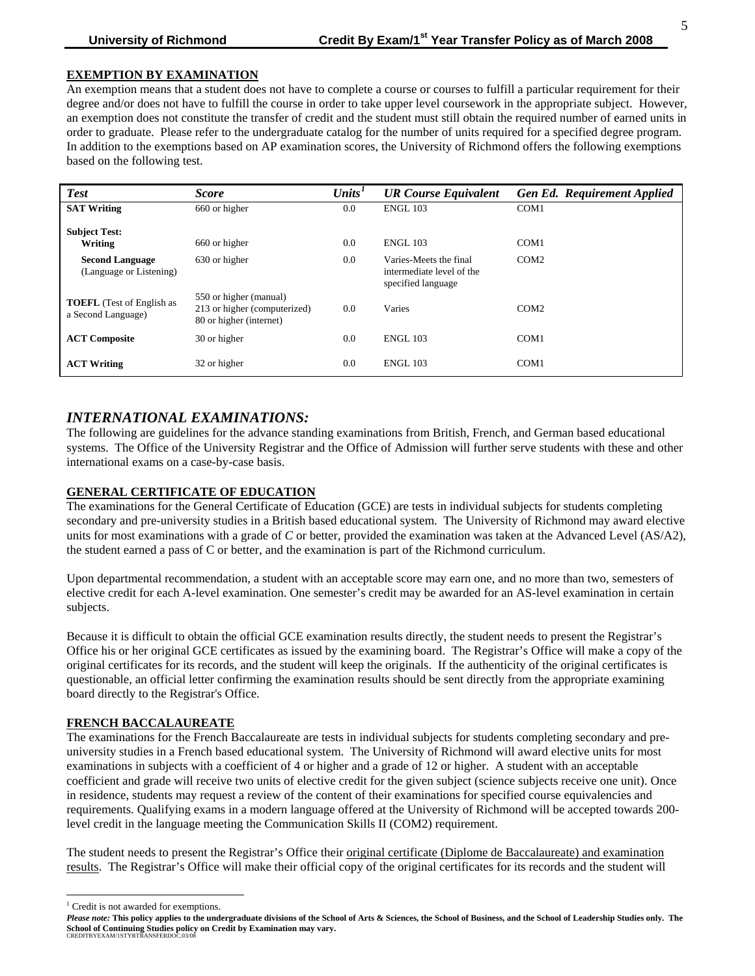### **EXEMPTION BY EXAMINATION**

An exemption means that a student does not have to complete a course or courses to fulfill a particular requirement for their degree and/or does not have to fulfill the course in order to take upper level coursework in the appropriate subject. However, an exemption does not constitute the transfer of credit and the student must still obtain the required number of earned units in order to graduate. Please refer to the undergraduate catalog for the number of units required for a specified degree program. In addition to the exemptions based on AP examination scores, the University of Richmond offers the following exemptions based on the following test.

| <b>Test</b>                                            | <b>Score</b>                                                                      | Units <sup>T</sup> | <b>UR Course Equivalent</b>                                               | <b>Gen Ed. Requirement Applied</b> |
|--------------------------------------------------------|-----------------------------------------------------------------------------------|--------------------|---------------------------------------------------------------------------|------------------------------------|
| <b>SAT Writing</b>                                     | 660 or higher                                                                     | 0.0                | <b>ENGL 103</b>                                                           | COM1                               |
| <b>Subject Test:</b><br>Writing                        | 660 or higher                                                                     | 0.0                | <b>ENGL 103</b>                                                           | COM1                               |
| <b>Second Language</b><br>(Language or Listening)      | 630 or higher                                                                     | 0.0                | Varies-Meets the final<br>intermediate level of the<br>specified language | COM <sub>2</sub>                   |
| <b>TOEFL</b> (Test of English as<br>a Second Language) | 550 or higher (manual)<br>213 or higher (computerized)<br>80 or higher (internet) | 0.0                | Varies                                                                    | COM2                               |
| <b>ACT Composite</b>                                   | 30 or higher                                                                      | 0.0                | <b>ENGL 103</b>                                                           | COM <sub>1</sub>                   |
| <b>ACT Writing</b>                                     | 32 or higher                                                                      | 0.0                | <b>ENGL 103</b>                                                           | COM <sub>1</sub>                   |

## *INTERNATIONAL EXAMINATIONS:*

The following are guidelines for the advance standing examinations from British, French, and German based educational systems. The Office of the University Registrar and the Office of Admission will further serve students with these and other international exams on a case-by-case basis.

## **GENERAL CERTIFICATE OF EDUCATION**

The examinations for the General Certificate of Education (GCE) are tests in individual subjects for students completing secondary and pre-university studies in a British based educational system. The University of Richmond may award elective units for most examinations with a grade of *C* or better, provided the examination was taken at the Advanced Level (AS/A2), the student earned a pass of C or better, and the examination is part of the Richmond curriculum.

Upon departmental recommendation, a student with an acceptable score may earn one, and no more than two, semesters of elective credit for each A-level examination. One semester's credit may be awarded for an AS-level examination in certain subjects.

Because it is difficult to obtain the official GCE examination results directly, the student needs to present the Registrar's Office his or her original GCE certificates as issued by the examining board. The Registrar's Office will make a copy of the original certificates for its records, and the student will keep the originals. If the authenticity of the original certificates is questionable, an official letter confirming the examination results should be sent directly from the appropriate examining board directly to the Registrar's Office.

#### **FRENCH BACCALAUREATE**

The examinations for the French Baccalaureate are tests in individual subjects for students completing secondary and preuniversity studies in a French based educational system. The University of Richmond will award elective units for most examinations in subjects with a coefficient of 4 or higher and a grade of 12 or higher. A student with an acceptable coefficient and grade will receive two units of elective credit for the given subject (science subjects receive one unit). Once in residence, students may request a review of the content of their examinations for specified course equivalencies and requirements. Qualifying exams in a modern language offered at the University of Richmond will be accepted towards 200 level credit in the language meeting the Communication Skills II (COM2) requirement.

The student needs to present the Registrar's Office their original certificate (Diplome de Baccalaureate) and examination results. The Registrar's Office will make their official copy of the original certificates for its records and the student will

l

<span id="page-4-0"></span><sup>&</sup>lt;sup>1</sup> Credit is not awarded for exemptions.

*Please note:* **This policy applies to the undergraduate divisions of the School of Arts & Sciences, the School of Business, and the School of Leadership Studies only. The School of Continuing Studies policy on Credit by Examination may vary.** CREDITBYEXAM/1STYRTRANSFERDOC.03/0